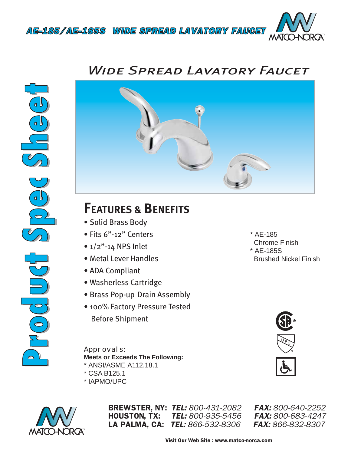

## *Wide Spread Lavatory Faucet*





## **FEATURES & BENEFITS**

- Solid Brass Body
- Fits 6"-12" Centers
- $\bullet$  1/2"-14 NPS Inlet
- Metal Lever Handles
- ADA Compliant
- Washerless Cartridge
- Brass Pop-up Drain Assembly
- 100% Factory Pressure Tested Before Shipment

*Approvals:* **Meets or Exceeds The Following:** \* ANSI/ASME A112.18.1

- \* CSA B125.1
- \* IAPMO/UPC



BREWSTER, NY: *TEL: 800-431-2082 FAX: 800-640-2252* HOUSTON, TX: *TEL: 800-935-5456 FAX: 800-683-4247* LA PALMA, CA: *TEL: 866-532-8306 FAX: 866-832-8307*



\* AE-185

\* AE-185S

Chrome Finish

Brushed Nickel Finish